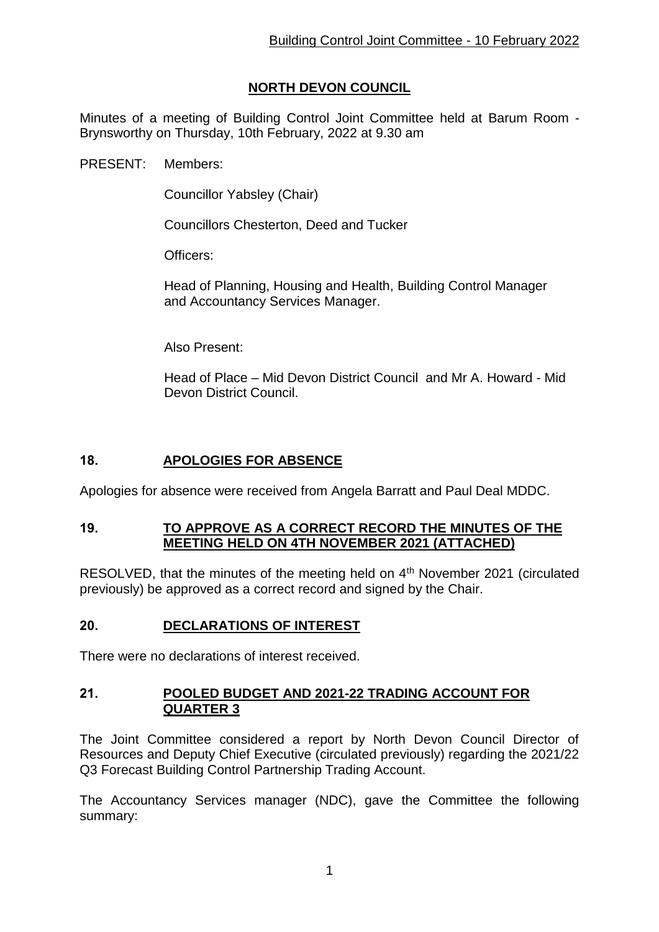# **NORTH DEVON COUNCIL**

Minutes of a meeting of Building Control Joint Committee held at Barum Room - Brynsworthy on Thursday, 10th February, 2022 at 9.30 am

PRESENT: Members:

Councillor Yabsley (Chair)

Councillors Chesterton, Deed and Tucker

Officers:

Head of Planning, Housing and Health, Building Control Manager and Accountancy Services Manager.

Also Present:

Head of Place – Mid Devon District Council and Mr A. Howard - Mid Devon District Council.

### **18. APOLOGIES FOR ABSENCE**

Apologies for absence were received from Angela Barratt and Paul Deal MDDC.

#### **19. TO APPROVE AS A CORRECT RECORD THE MINUTES OF THE MEETING HELD ON 4TH NOVEMBER 2021 (ATTACHED)**

RESOLVED, that the minutes of the meeting held on  $4<sup>th</sup>$  November 2021 (circulated previously) be approved as a correct record and signed by the Chair.

### **20. DECLARATIONS OF INTEREST**

There were no declarations of interest received.

#### **21. POOLED BUDGET AND 2021-22 TRADING ACCOUNT FOR QUARTER 3**

The Joint Committee considered a report by North Devon Council Director of Resources and Deputy Chief Executive (circulated previously) regarding the 2021/22 Q3 Forecast Building Control Partnership Trading Account.

The Accountancy Services manager (NDC), gave the Committee the following summary: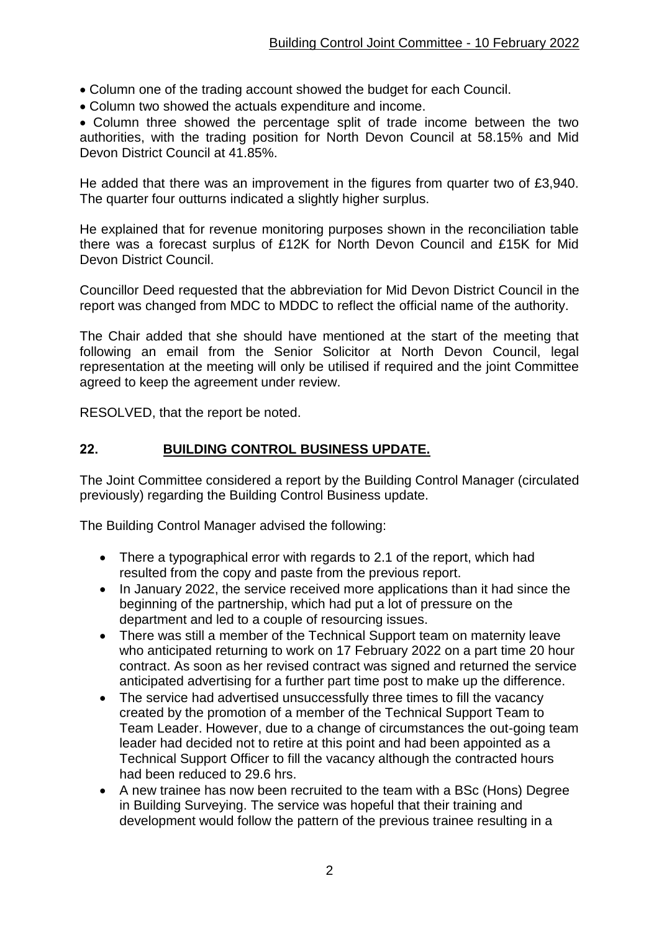- Column one of the trading account showed the budget for each Council.
- Column two showed the actuals expenditure and income.

 Column three showed the percentage split of trade income between the two authorities, with the trading position for North Devon Council at 58.15% and Mid Devon District Council at 41.85%.

He added that there was an improvement in the figures from quarter two of £3,940. The quarter four outturns indicated a slightly higher surplus.

He explained that for revenue monitoring purposes shown in the reconciliation table there was a forecast surplus of £12K for North Devon Council and £15K for Mid Devon District Council.

Councillor Deed requested that the abbreviation for Mid Devon District Council in the report was changed from MDC to MDDC to reflect the official name of the authority.

The Chair added that she should have mentioned at the start of the meeting that following an email from the Senior Solicitor at North Devon Council, legal representation at the meeting will only be utilised if required and the joint Committee agreed to keep the agreement under review.

RESOLVED, that the report be noted.

### **22. BUILDING CONTROL BUSINESS UPDATE.**

The Joint Committee considered a report by the Building Control Manager (circulated previously) regarding the Building Control Business update.

The Building Control Manager advised the following:

- There a typographical error with regards to 2.1 of the report, which had resulted from the copy and paste from the previous report.
- In January 2022, the service received more applications than it had since the beginning of the partnership, which had put a lot of pressure on the department and led to a couple of resourcing issues.
- There was still a member of the Technical Support team on maternity leave who anticipated returning to work on 17 February 2022 on a part time 20 hour contract. As soon as her revised contract was signed and returned the service anticipated advertising for a further part time post to make up the difference.
- The service had advertised unsuccessfully three times to fill the vacancy created by the promotion of a member of the Technical Support Team to Team Leader. However, due to a change of circumstances the out-going team leader had decided not to retire at this point and had been appointed as a Technical Support Officer to fill the vacancy although the contracted hours had been reduced to 29.6 hrs.
- A new trainee has now been recruited to the team with a BSc (Hons) Degree in Building Surveying. The service was hopeful that their training and development would follow the pattern of the previous trainee resulting in a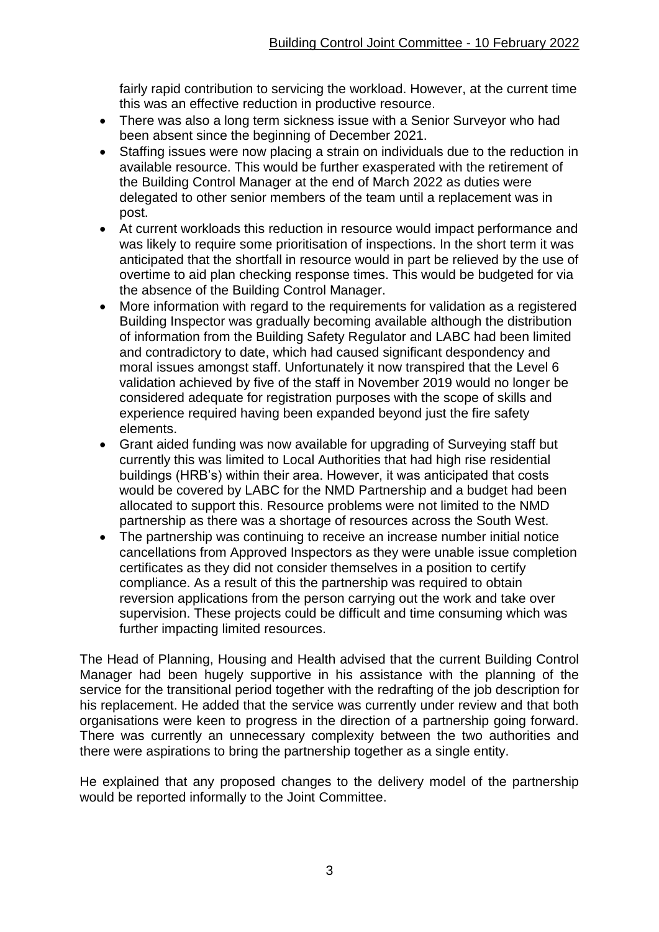fairly rapid contribution to servicing the workload. However, at the current time this was an effective reduction in productive resource.

- There was also a long term sickness issue with a Senior Survevor who had been absent since the beginning of December 2021.
- Staffing issues were now placing a strain on individuals due to the reduction in available resource. This would be further exasperated with the retirement of the Building Control Manager at the end of March 2022 as duties were delegated to other senior members of the team until a replacement was in post.
- At current workloads this reduction in resource would impact performance and was likely to require some prioritisation of inspections. In the short term it was anticipated that the shortfall in resource would in part be relieved by the use of overtime to aid plan checking response times. This would be budgeted for via the absence of the Building Control Manager.
- More information with regard to the requirements for validation as a registered Building Inspector was gradually becoming available although the distribution of information from the Building Safety Regulator and LABC had been limited and contradictory to date, which had caused significant despondency and moral issues amongst staff. Unfortunately it now transpired that the Level 6 validation achieved by five of the staff in November 2019 would no longer be considered adequate for registration purposes with the scope of skills and experience required having been expanded beyond just the fire safety elements.
- Grant aided funding was now available for upgrading of Surveying staff but currently this was limited to Local Authorities that had high rise residential buildings (HRB's) within their area. However, it was anticipated that costs would be covered by LABC for the NMD Partnership and a budget had been allocated to support this. Resource problems were not limited to the NMD partnership as there was a shortage of resources across the South West.
- The partnership was continuing to receive an increase number initial notice cancellations from Approved Inspectors as they were unable issue completion certificates as they did not consider themselves in a position to certify compliance. As a result of this the partnership was required to obtain reversion applications from the person carrying out the work and take over supervision. These projects could be difficult and time consuming which was further impacting limited resources.

The Head of Planning, Housing and Health advised that the current Building Control Manager had been hugely supportive in his assistance with the planning of the service for the transitional period together with the redrafting of the job description for his replacement. He added that the service was currently under review and that both organisations were keen to progress in the direction of a partnership going forward. There was currently an unnecessary complexity between the two authorities and there were aspirations to bring the partnership together as a single entity.

He explained that any proposed changes to the delivery model of the partnership would be reported informally to the Joint Committee.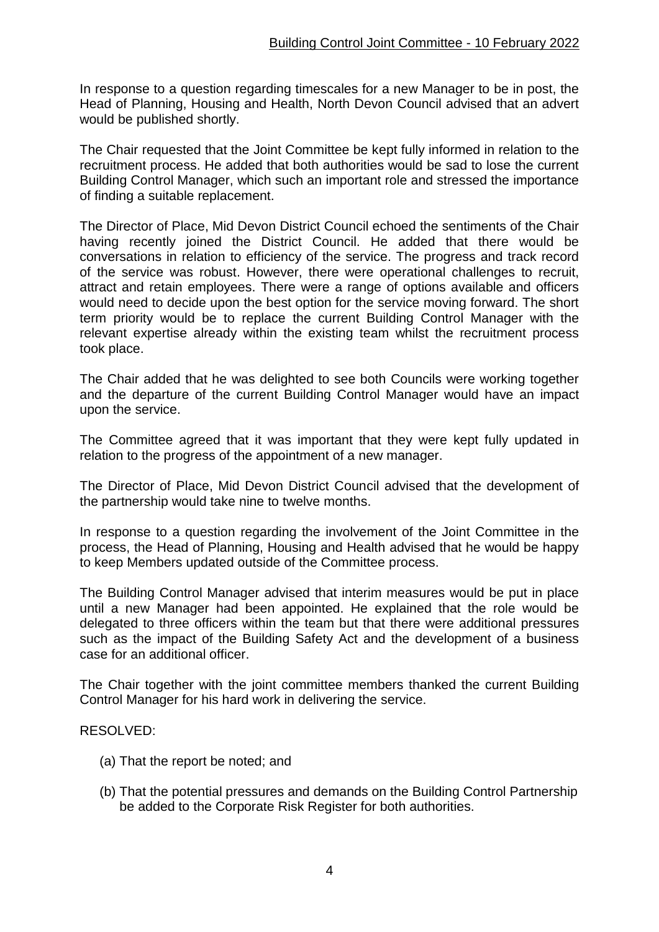In response to a question regarding timescales for a new Manager to be in post, the Head of Planning, Housing and Health, North Devon Council advised that an advert would be published shortly.

The Chair requested that the Joint Committee be kept fully informed in relation to the recruitment process. He added that both authorities would be sad to lose the current Building Control Manager, which such an important role and stressed the importance of finding a suitable replacement.

The Director of Place, Mid Devon District Council echoed the sentiments of the Chair having recently joined the District Council. He added that there would be conversations in relation to efficiency of the service. The progress and track record of the service was robust. However, there were operational challenges to recruit, attract and retain employees. There were a range of options available and officers would need to decide upon the best option for the service moving forward. The short term priority would be to replace the current Building Control Manager with the relevant expertise already within the existing team whilst the recruitment process took place.

The Chair added that he was delighted to see both Councils were working together and the departure of the current Building Control Manager would have an impact upon the service.

The Committee agreed that it was important that they were kept fully updated in relation to the progress of the appointment of a new manager.

The Director of Place, Mid Devon District Council advised that the development of the partnership would take nine to twelve months.

In response to a question regarding the involvement of the Joint Committee in the process, the Head of Planning, Housing and Health advised that he would be happy to keep Members updated outside of the Committee process.

The Building Control Manager advised that interim measures would be put in place until a new Manager had been appointed. He explained that the role would be delegated to three officers within the team but that there were additional pressures such as the impact of the Building Safety Act and the development of a business case for an additional officer.

The Chair together with the joint committee members thanked the current Building Control Manager for his hard work in delivering the service.

RESOLVED:

- (a) That the report be noted; and
- (b) That the potential pressures and demands on the Building Control Partnership be added to the Corporate Risk Register for both authorities.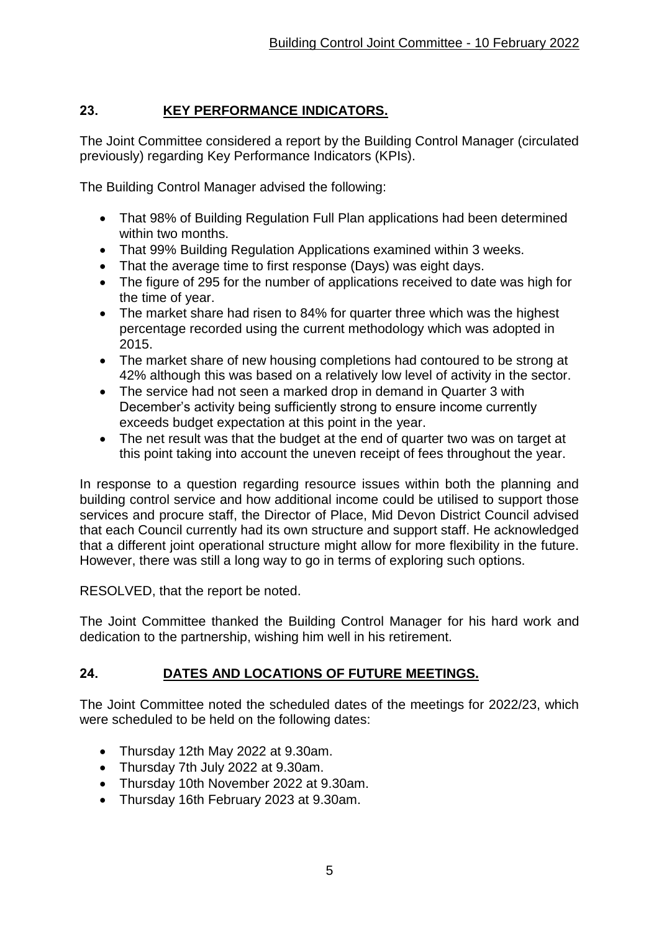## **23. KEY PERFORMANCE INDICATORS.**

The Joint Committee considered a report by the Building Control Manager (circulated previously) regarding Key Performance Indicators (KPIs).

The Building Control Manager advised the following:

- That 98% of Building Regulation Full Plan applications had been determined within two months.
- That 99% Building Regulation Applications examined within 3 weeks.
- That the average time to first response (Days) was eight days.
- The figure of 295 for the number of applications received to date was high for the time of year.
- The market share had risen to 84% for quarter three which was the highest percentage recorded using the current methodology which was adopted in 2015.
- The market share of new housing completions had contoured to be strong at 42% although this was based on a relatively low level of activity in the sector.
- The service had not seen a marked drop in demand in Quarter 3 with December's activity being sufficiently strong to ensure income currently exceeds budget expectation at this point in the year.
- The net result was that the budget at the end of quarter two was on target at this point taking into account the uneven receipt of fees throughout the year.

In response to a question regarding resource issues within both the planning and building control service and how additional income could be utilised to support those services and procure staff, the Director of Place, Mid Devon District Council advised that each Council currently had its own structure and support staff. He acknowledged that a different joint operational structure might allow for more flexibility in the future. However, there was still a long way to go in terms of exploring such options.

RESOLVED, that the report be noted.

The Joint Committee thanked the Building Control Manager for his hard work and dedication to the partnership, wishing him well in his retirement.

## **24. DATES AND LOCATIONS OF FUTURE MEETINGS.**

The Joint Committee noted the scheduled dates of the meetings for 2022/23, which were scheduled to be held on the following dates:

- Thursday 12th May 2022 at 9.30am.
- Thursday 7th July 2022 at 9.30am.
- Thursday 10th November 2022 at 9.30am.
- Thursday 16th February 2023 at 9.30am.